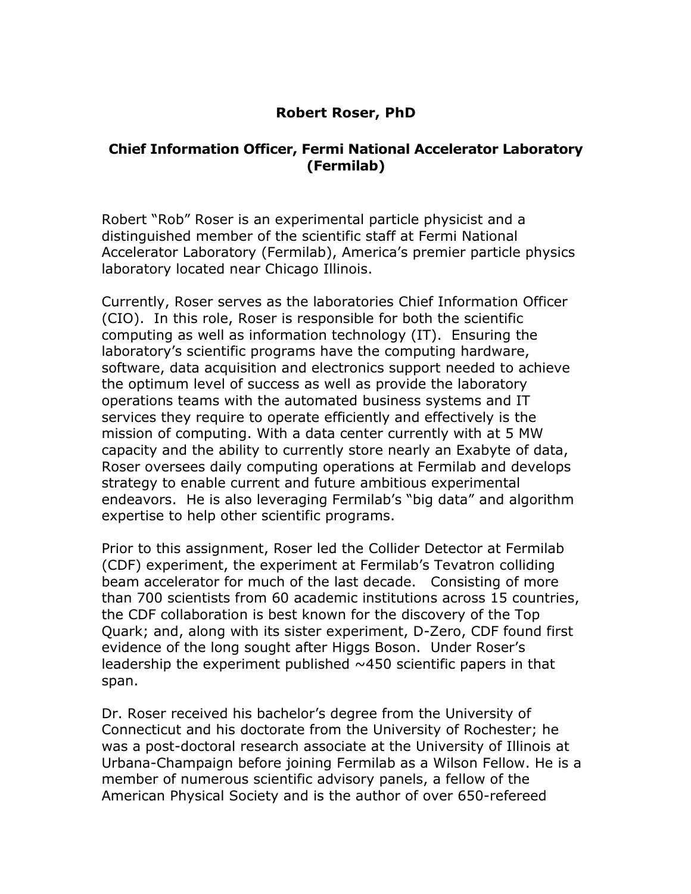## **Robert Roser, PhD**

## **Chief Information Officer, Fermi National Accelerator Laboratory (Fermilab)**

Robert "Rob" Roser is an experimental particle physicist and a distinguished member of the scientific staff at Fermi National Accelerator Laboratory (Fermilab), America's premier particle physics laboratory located near Chicago Illinois.

Currently, Roser serves as the laboratories Chief Information Officer (CIO). In this role, Roser is responsible for both the scientific computing as well as information technology (IT). Ensuring the laboratory's scientific programs have the computing hardware, software, data acquisition and electronics support needed to achieve the optimum level of success as well as provide the laboratory operations teams with the automated business systems and IT services they require to operate efficiently and effectively is the mission of computing. With a data center currently with at 5 MW capacity and the ability to currently store nearly an Exabyte of data, Roser oversees daily computing operations at Fermilab and develops strategy to enable current and future ambitious experimental endeavors. He is also leveraging Fermilab's "big data" and algorithm expertise to help other scientific programs.

Prior to this assignment, Roser led the Collider Detector at Fermilab (CDF) experiment, the experiment at Fermilab's Tevatron colliding beam accelerator for much of the last decade. Consisting of more than 700 scientists from 60 academic institutions across 15 countries, the CDF collaboration is best known for the discovery of the Top Quark; and, along with its sister experiment, D-Zero, CDF found first evidence of the long sought after Higgs Boson. Under Roser's leadership the experiment published  $\sim$ 450 scientific papers in that span.

Dr. Roser received his bachelor's degree from the University of Connecticut and his doctorate from the University of Rochester; he was a post-doctoral research associate at the University of Illinois at Urbana-Champaign before joining Fermilab as a Wilson Fellow. He is a member of numerous scientific advisory panels, a fellow of the American Physical Society and is the author of over 650-refereed